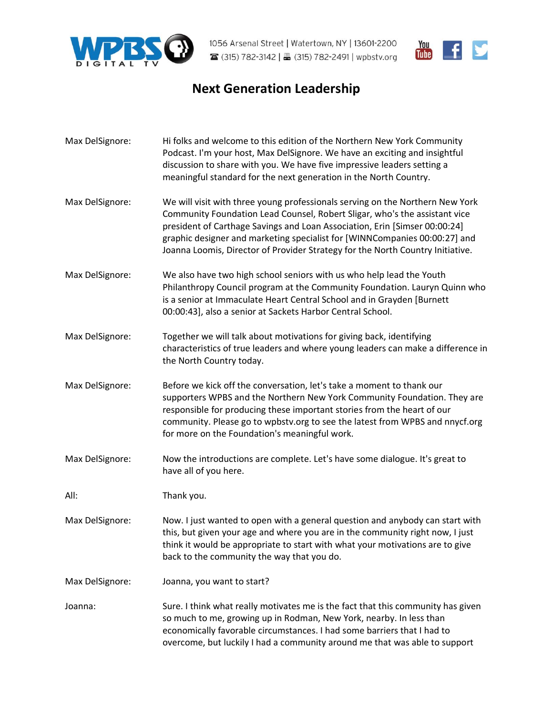



## **Next Generation Leadership**

Max DelSignore: Hi folks and welcome to this edition of the Northern New York Community Podcast. I'm your host, Max DelSignore. We have an exciting and insightful discussion to share with you. We have five impressive leaders setting a meaningful standard for the next generation in the North Country. [Max DelSignore:](https://www.rev.com/transcript-editor/Edit?token=uXTGMT5feF-kCkG5BQqRRbb2IRk1SA_zn5P2G_IhNLBGepyeuweSZU2BLadIELwmOMgb47cJImZjcn9_mdujqewS6Vw&loadFrom=DocumentSpeakerNameDeeplink&ts=13.68) We will visit with three young professionals serving on the Northern New York Community Foundation Lead Counsel, Robert Sligar, who's the assistant vice president of Carthage Savings and Loan Association, Erin [Simser 00:00:24] graphic designer and marketing specialist for [WINNCompanies 00:00:27] and Joanna Loomis, Director of Provider Strategy for the North Country Initiative. [Max DelSignore:](https://www.rev.com/transcript-editor/Edit?token=kjXpsYH8bUsxBsTgJIa4F403DYTbMZSKkjwQTbYO-mJjRg2ROZgyPp-dwWRR4Y6xupoBAZKiM6vj-DYCLnmoYJ2RSbw&loadFrom=DocumentSpeakerNameDeeplink&ts=32.96) We also have two high school seniors with us who help lead the Youth Philanthropy Council program at the Community Foundation. Lauryn Quinn who is a senior at Immaculate Heart Central School and in Grayden [Burnett 00:00:43], also a senior at Sackets Harbor Central School. [Max DelSignore:](https://www.rev.com/transcript-editor/Edit?token=yWLIOE9wVF7jVIcP1MXBgRX4bei-kpJFraGnVCFojzc6jMvEx4R_UNjybhVUDo1nu4KhuKAh1sY5XNCftjEX4RU3kUc&loadFrom=DocumentSpeakerNameDeeplink&ts=46.49) Together we will talk about motivations for giving back, identifying characteristics of true leaders and where young leaders can make a difference in the North Country today. [Max DelSignore:](https://www.rev.com/transcript-editor/Edit?token=GtdZwwklUo4U3HnYvvSxujLH1tdYUGEXm7g93gBeLc-4bFnv-aJeIh9dRm3fSO05bd3dSj5J0SV1lsbKuEc6QUkMV48&loadFrom=DocumentSpeakerNameDeeplink&ts=54.82) Before we kick off the conversation, let's take a moment to thank our supporters WPBS and the Northern New York Community Foundation. They are responsible for producing these important stories from the heart of our community. Please go to wpbstv.org to see the latest from WPBS and nnycf.org for more on the Foundation's meaningful work. [Max DelSignore:](https://www.rev.com/transcript-editor/Edit?token=xe69m-RXTdDNlxQzYdke1Fz5mICmnXnp36cXpE3cvoe82_eFSqiXIAWegDUwiELGlo16d2NXK24nRD5Ds3NvvPgqH7I&loadFrom=DocumentSpeakerNameDeeplink&ts=77.69) Now the introductions are complete. Let's have some dialogue. It's great to have all of you here. [All:](https://www.rev.com/transcript-editor/Edit?token=MA-73-80QviafEqrxV8mkDOT5lccL7mkfe93bqL4L_Qw-88lWjDk8P3wZjMV4B9BmQOL7nFFRy7QZGfBHpwzbAZo4rw&loadFrom=DocumentSpeakerNameDeeplink&ts=82.29) Thank you. [Max DelSignore:](https://www.rev.com/transcript-editor/Edit?token=hK4ENkuMztRwZ-lypMVNw1ALr7p7Q510nkFlr13jXCEZ5IKV0sTk5bc_cQNn8E3d9c4mvEkfDBqfrUnsndDslKVhduc&loadFrom=DocumentSpeakerNameDeeplink&ts=83.49) Now. I just wanted to open with a general question and anybody can start with this, but given your age and where you are in the community right now, I just think it would be appropriate to start with what your motivations are to give back to the community the way that you do. [Max DelSignore:](https://www.rev.com/transcript-editor/Edit?token=QaW77ffmd1lowaV4IPJYfwiuFFowMRBjRzrifKe3kBNLlVd2KQDe5pRkQ3-tRS18LU0qq4kHxhkeUs42LadYrQgtl6g&loadFrom=DocumentSpeakerNameDeeplink&ts=98.92) Joanna, you want to start? [Joanna:](https://www.rev.com/transcript-editor/Edit?token=fHeBcLnIsHVzpCpHSHNrBoeh5Nzu6-NZ3JXtxT6Ct3wGJdGdQ3Yynt0a0KKezElymsebWhncr9ty0k-llK-AEPsJ5qc&loadFrom=DocumentSpeakerNameDeeplink&ts=100.22) Sure. I think what really motivates me is the fact that this community has given so much to me, growing up in Rodman, New York, nearby. In less than economically favorable circumstances. I had some barriers that I had to overcome, but luckily I had a community around me that was able to support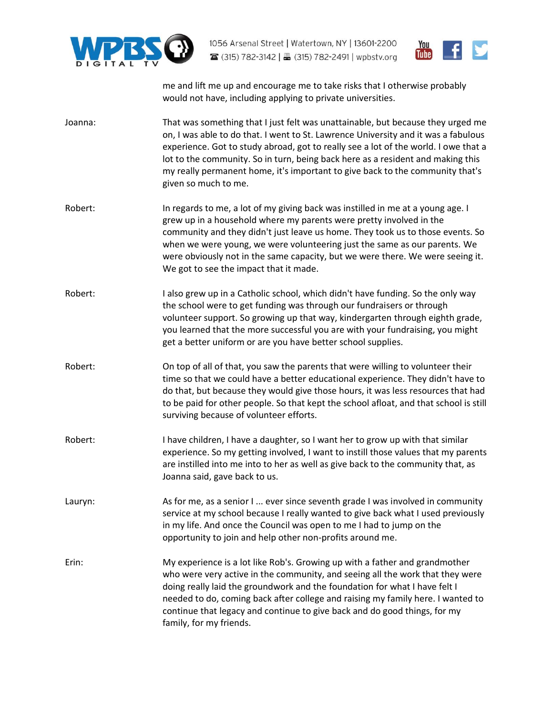



me and lift me up and encourage me to take risks that I otherwise probably would not have, including applying to private universities.

- [Joanna:](https://www.rev.com/transcript-editor/Edit?token=K4J0RcdDg99dmvHY1u6FEoPsBIh7y5mGGy-PvsZYq-3f4Tzs1Z3V_Ws0e4H32sNEaJ3Hmoz6UW5OuDCNPjAZfjvm1pI&loadFrom=DocumentSpeakerNameDeeplink&ts=131.57) That was something that I just felt was unattainable, but because they urged me on, I was able to do that. I went to St. Lawrence University and it was a fabulous experience. Got to study abroad, got to really see a lot of the world. I owe that a lot to the community. So in turn, being back here as a resident and making this my really permanent home, it's important to give back to the community that's given so much to me.
- [Robert:](https://www.rev.com/transcript-editor/Edit?token=JB0HcgkFQ57oVs1QO5wrzpOF96lC9YcUXzu-Y9z60UIUUd68r30tcn0tVlvV4LcTh6WzEW_7Jw7xz4UD0181biVsBj8&loadFrom=DocumentSpeakerNameDeeplink&ts=162.81) In regards to me, a lot of my giving back was instilled in me at a young age. I grew up in a household where my parents were pretty involved in the community and they didn't just leave us home. They took us to those events. So when we were young, we were volunteering just the same as our parents. We were obviously not in the same capacity, but we were there. We were seeing it. We got to see the impact that it made.
- [Robert:](https://www.rev.com/transcript-editor/Edit?token=UYLvcnfgBZDiNiImRAXno7KmDiHGYKdqX8DYl6Hrq-W02YpeXOn29wMdTzIvy5Bwyq3MpRmHXDm3LybTnkXrLeUHv-U&loadFrom=DocumentSpeakerNameDeeplink&ts=185.5) I also grew up in a Catholic school, which didn't have funding. So the only way the school were to get funding was through our fundraisers or through volunteer support. So growing up that way, kindergarten through eighth grade, you learned that the more successful you are with your fundraising, you might get a better uniform or are you have better school supplies.
- [Robert:](https://www.rev.com/transcript-editor/Edit?token=Pdeb_1755_uRAyGa5ExQjU5siPQaxmUxRV3025LBC6v-SCjxPD0gLdYfFDmTu13GhM_OhMrb1G7QRVrIltYZ9GKFgh8&loadFrom=DocumentSpeakerNameDeeplink&ts=204.62) On top of all of that, you saw the parents that were willing to volunteer their time so that we could have a better educational experience. They didn't have to do that, but because they would give those hours, it was less resources that had to be paid for other people. So that kept the school afloat, and that school is still surviving because of volunteer efforts.
- [Robert:](https://www.rev.com/transcript-editor/Edit?token=cDfIwvSo5rSxjhCA3yipyI8MjlLhk2YFdZ6oeBJQJRmpi34m4y0Prq7kbRjvf4GrECLYdAqRfBU8qxhhMqMWJCN73Hc&loadFrom=DocumentSpeakerNameDeeplink&ts=223.04) I have children, I have a daughter, so I want her to grow up with that similar experience. So my getting involved, I want to instill those values that my parents are instilled into me into to her as well as give back to the community that, as Joanna said, gave back to us.
- [Lauryn:](https://www.rev.com/transcript-editor/Edit?token=BBJqQkz3wvNhf2Rpelw0om6urY_fGP1rcDGBSTjdfFxSO8FojxsLJht8yYe3xN2Qv9sk9SfPMdjD7ICgcvt8EpCINyo&loadFrom=DocumentSpeakerNameDeeplink&ts=238.56) As for me, as a senior I ... ever since seventh grade I was involved in community service at my school because I really wanted to give back what I used previously in my life. And once the Council was open to me I had to jump on the opportunity to join and help other non-profits around me.
- [Erin:](https://www.rev.com/transcript-editor/Edit?token=VXEbaPT0Gu4ji3x6fNUJTn05RhvcySzMho3t2mMm_WNjZn6MxicniKxT09TvQwoEEuzHVZ9Kaa5IWPVjRbYaNoisDVc&loadFrom=DocumentSpeakerNameDeeplink&ts=264.1) My experience is a lot like Rob's. Growing up with a father and grandmother who were very active in the community, and seeing all the work that they were doing really laid the groundwork and the foundation for what I have felt I needed to do, coming back after college and raising my family here. I wanted to continue that legacy and continue to give back and do good things, for my family, for my friends.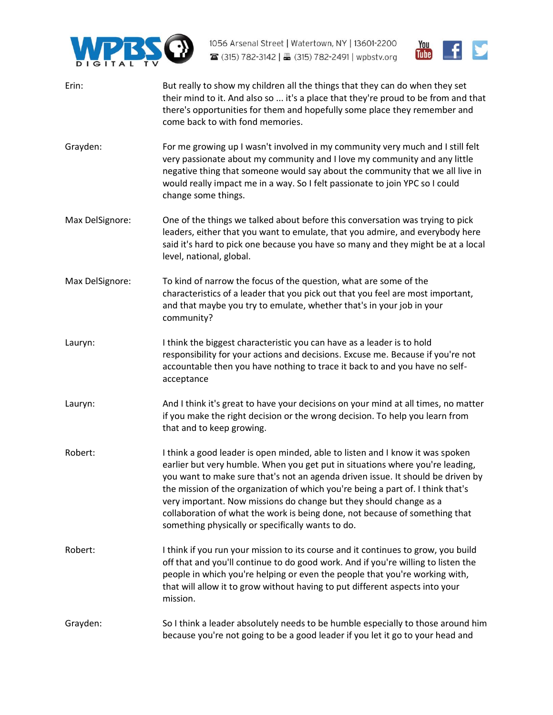



| Erin:           | But really to show my children all the things that they can do when they set<br>their mind to it. And also so  it's a place that they're proud to be from and that<br>there's opportunities for them and hopefully some place they remember and<br>come back to with fond memories.                                                                                                                                                                                                                                                            |
|-----------------|------------------------------------------------------------------------------------------------------------------------------------------------------------------------------------------------------------------------------------------------------------------------------------------------------------------------------------------------------------------------------------------------------------------------------------------------------------------------------------------------------------------------------------------------|
| Grayden:        | For me growing up I wasn't involved in my community very much and I still felt<br>very passionate about my community and I love my community and any little<br>negative thing that someone would say about the community that we all live in<br>would really impact me in a way. So I felt passionate to join YPC so I could<br>change some things.                                                                                                                                                                                            |
| Max DelSignore: | One of the things we talked about before this conversation was trying to pick<br>leaders, either that you want to emulate, that you admire, and everybody here<br>said it's hard to pick one because you have so many and they might be at a local<br>level, national, global.                                                                                                                                                                                                                                                                 |
| Max DelSignore: | To kind of narrow the focus of the question, what are some of the<br>characteristics of a leader that you pick out that you feel are most important,<br>and that maybe you try to emulate, whether that's in your job in your<br>community?                                                                                                                                                                                                                                                                                                    |
| Lauryn:         | I think the biggest characteristic you can have as a leader is to hold<br>responsibility for your actions and decisions. Excuse me. Because if you're not<br>accountable then you have nothing to trace it back to and you have no self-<br>acceptance                                                                                                                                                                                                                                                                                         |
| Lauryn:         | And I think it's great to have your decisions on your mind at all times, no matter<br>if you make the right decision or the wrong decision. To help you learn from<br>that and to keep growing.                                                                                                                                                                                                                                                                                                                                                |
| Robert:         | I think a good leader is open minded, able to listen and I know it was spoken<br>earlier but very humble. When you get put in situations where you're leading,<br>you want to make sure that's not an agenda driven issue. It should be driven by<br>the mission of the organization of which you're being a part of. I think that's<br>very important. Now missions do change but they should change as a<br>collaboration of what the work is being done, not because of something that<br>something physically or specifically wants to do. |
| Robert:         | I think if you run your mission to its course and it continues to grow, you build<br>off that and you'll continue to do good work. And if you're willing to listen the<br>people in which you're helping or even the people that you're working with,<br>that will allow it to grow without having to put different aspects into your<br>mission.                                                                                                                                                                                              |
| Grayden:        | So I think a leader absolutely needs to be humble especially to those around him<br>because you're not going to be a good leader if you let it go to your head and                                                                                                                                                                                                                                                                                                                                                                             |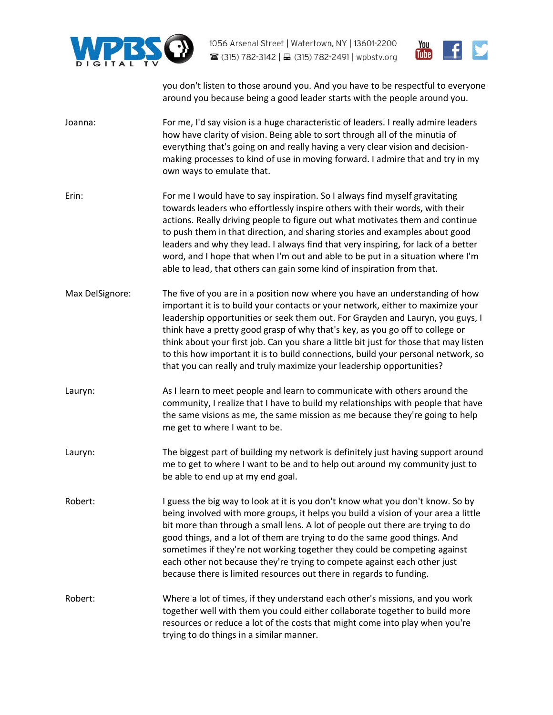



you don't listen to those around you. And you have to be respectful to everyone around you because being a good leader starts with the people around you.

- [Joanna:](https://www.rev.com/transcript-editor/Edit?token=eH69SA94QeQ4G4BnFc_lqoXvSbcyk7Q1aKzV3XvgwUk3t7hXmiViFGdHtzkoJKB28o57lJLz0nSgHz8zafqtIzQtyC0&loadFrom=DocumentSpeakerNameDeeplink&ts=515.79) For me, I'd say vision is a huge characteristic of leaders. I really admire leaders how have clarity of vision. Being able to sort through all of the minutia of everything that's going on and really having a very clear vision and decisionmaking processes to kind of use in moving forward. I admire that and try in my own ways to emulate that.
- [Erin:](https://www.rev.com/transcript-editor/Edit?token=trpScFf5jPNRLkXIoG09HmmZmh_a-nHA1z5XV4fXJC1F7adRMy0Wn9qOTTV1NO26OPHyu9UN-PjNkEpAyoJxlZJ1Crs&loadFrom=DocumentSpeakerNameDeeplink&ts=543.38) For me I would have to say inspiration. So I always find myself gravitating towards leaders who effortlessly inspire others with their words, with their actions. Really driving people to figure out what motivates them and continue to push them in that direction, and sharing stories and examples about good leaders and why they lead. I always find that very inspiring, for lack of a better word, and I hope that when I'm out and able to be put in a situation where I'm able to lead, that others can gain some kind of inspiration from that.
- [Max DelSignore:](https://www.rev.com/transcript-editor/Edit?token=qgUhXQS4kQa5Qq4_OpAq_8WWVgkIxviLTkUHkvKOTIhdT7D2qHHeT0NyoyEBHatLaBC9_qx0WzaoCqO9hZ0yyakppf0&loadFrom=DocumentSpeakerNameDeeplink&ts=593) The five of you are in a position now where you have an understanding of how important it is to build your contacts or your network, either to maximize your leadership opportunities or seek them out. For Grayden and Lauryn, you guys, I think have a pretty good grasp of why that's key, as you go off to college or think about your first job. Can you share a little bit just for those that may listen to this how important it is to build connections, build your personal network, so that you can really and truly maximize your leadership opportunities?
- [Lauryn:](https://www.rev.com/transcript-editor/Edit?token=MfZYcTkel-dQm2LLKwADFNxa5qJsce5FLxiCG4iIWGjf108SUYIWUZ_uyQ3NMr1-8_avk3IF9MOrS92qjcIZSGWqTrA&loadFrom=DocumentSpeakerNameDeeplink&ts=623.38) As I learn to meet people and learn to communicate with others around the community, I realize that I have to build my relationships with people that have the same visions as me, the same mission as me because they're going to help me get to where I want to be.
- [Lauryn:](https://www.rev.com/transcript-editor/Edit?token=OTmfOnV0_5RbU_K50L3Wl74BtrZwNvKAj2JIAg3TW-wgRlYwThMYUYZNJzWUOyfJmUtcHP1EdBnVmnIMlEh4GC_ZcgU&loadFrom=DocumentSpeakerNameDeeplink&ts=647.98) The biggest part of building my network is definitely just having support around me to get to where I want to be and to help out around my community just to be able to end up at my end goal.
- [Robert:](https://www.rev.com/transcript-editor/Edit?token=NJFkKnhlsFNTgUNsQ1Jkedp9sfRJkbWnePg6YYNIbe1CvhDxx0kTBERHOTF3tlVaB3o-OfZMSBYfhGlf6S_vhDpPKKM&loadFrom=DocumentSpeakerNameDeeplink&ts=665.51) I guess the big way to look at it is you don't know what you don't know. So by being involved with more groups, it helps you build a vision of your area a little bit more than through a small lens. A lot of people out there are trying to do good things, and a lot of them are trying to do the same good things. And sometimes if they're not working together they could be competing against each other not because they're trying to compete against each other just because there is limited resources out there in regards to funding.
- [Robert:](https://www.rev.com/transcript-editor/Edit?token=Q8ErrRQpC454MpxalXgeEjy765fC-ZzCWP0KQlF9iwDw1NLYiS_a_3ARm6SdnjlbTco3HeGpxepRbhEjS2TDrOUuPcs&loadFrom=DocumentSpeakerNameDeeplink&ts=692.64) Where a lot of times, if they understand each other's missions, and you work together well with them you could either collaborate together to build more resources or reduce a lot of the costs that might come into play when you're trying to do things in a similar manner.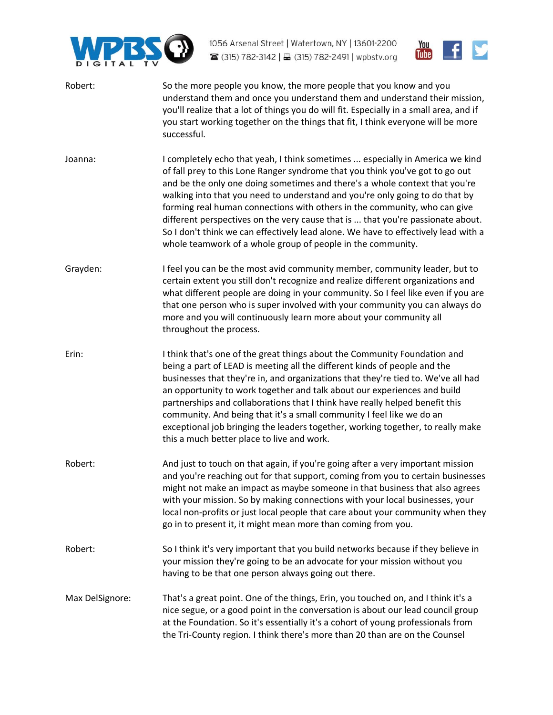



| Robert:         | So the more people you know, the more people that you know and you<br>understand them and once you understand them and understand their mission,<br>you'll realize that a lot of things you do will fit. Especially in a small area, and if<br>you start working together on the things that fit, I think everyone will be more<br>successful.                                                                                                                                                                                                                                                                                                     |
|-----------------|----------------------------------------------------------------------------------------------------------------------------------------------------------------------------------------------------------------------------------------------------------------------------------------------------------------------------------------------------------------------------------------------------------------------------------------------------------------------------------------------------------------------------------------------------------------------------------------------------------------------------------------------------|
| Joanna:         | I completely echo that yeah, I think sometimes  especially in America we kind<br>of fall prey to this Lone Ranger syndrome that you think you've got to go out<br>and be the only one doing sometimes and there's a whole context that you're<br>walking into that you need to understand and you're only going to do that by<br>forming real human connections with others in the community, who can give<br>different perspectives on the very cause that is  that you're passionate about.<br>So I don't think we can effectively lead alone. We have to effectively lead with a<br>whole teamwork of a whole group of people in the community. |
| Grayden:        | I feel you can be the most avid community member, community leader, but to<br>certain extent you still don't recognize and realize different organizations and<br>what different people are doing in your community. So I feel like even if you are<br>that one person who is super involved with your community you can always do<br>more and you will continuously learn more about your community all<br>throughout the process.                                                                                                                                                                                                                |
| Erin:           | I think that's one of the great things about the Community Foundation and<br>being a part of LEAD is meeting all the different kinds of people and the<br>businesses that they're in, and organizations that they're tied to. We've all had<br>an opportunity to work together and talk about our experiences and build<br>partnerships and collaborations that I think have really helped benefit this<br>community. And being that it's a small community I feel like we do an<br>exceptional job bringing the leaders together, working together, to really make<br>this a much better place to live and work.                                  |
| Robert:         | And just to touch on that again, if you're going after a very important mission<br>and you're reaching out for that support, coming from you to certain businesses<br>might not make an impact as maybe someone in that business that also agrees<br>with your mission. So by making connections with your local businesses, your<br>local non-profits or just local people that care about your community when they<br>go in to present it, it might mean more than coming from you.                                                                                                                                                              |
| Robert:         | So I think it's very important that you build networks because if they believe in<br>your mission they're going to be an advocate for your mission without you<br>having to be that one person always going out there.                                                                                                                                                                                                                                                                                                                                                                                                                             |
| Max DelSignore: | That's a great point. One of the things, Erin, you touched on, and I think it's a<br>nice segue, or a good point in the conversation is about our lead council group<br>at the Foundation. So it's essentially it's a cohort of young professionals from<br>the Tri-County region. I think there's more than 20 than are on the Counsel                                                                                                                                                                                                                                                                                                            |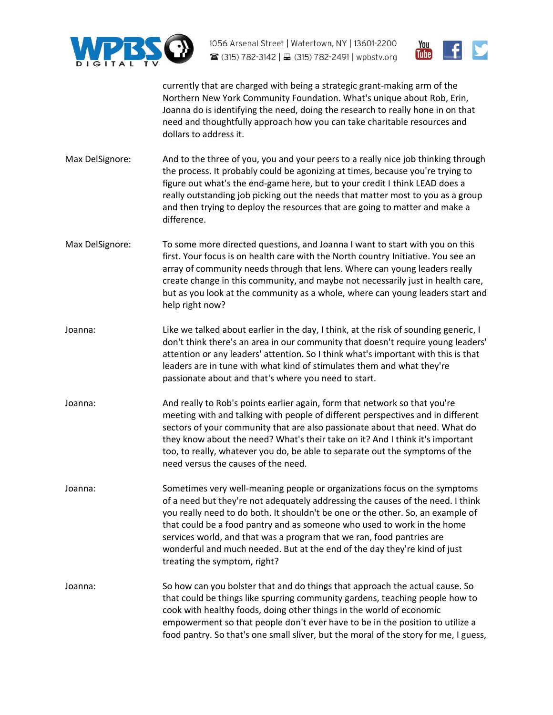



currently that are charged with being a strategic grant-making arm of the Northern New York Community Foundation. What's unique about Rob, Erin, Joanna do is identifying the need, doing the research to really hone in on that need and thoughtfully approach how you can take charitable resources and dollars to address it.

- [Max DelSignore:](https://www.rev.com/transcript-editor/Edit?token=K86-X1JKD2UNNdgd6RUDVeVNA-bPCrvV4wo43FgHPzgi29GEj9zDzCWkQ0W6mxML3faNxpfe3CgMZKsvcX76EKjap0s&loadFrom=DocumentSpeakerNameDeeplink&ts=898.43) And to the three of you, you and your peers to a really nice job thinking through the process. It probably could be agonizing at times, because you're trying to figure out what's the end-game here, but to your credit I think LEAD does a really outstanding job picking out the needs that matter most to you as a group and then trying to deploy the resources that are going to matter and make a difference.
- [Max DelSignore:](https://www.rev.com/transcript-editor/Edit?token=ghCHSe5V7Q2GgQQugI5IFZN3bpyXLTQ5aeiqy7zSBUtqtCZ2UVU0MhxbQuDQ4cVMDCsLwXJiFx6VZitwbgadOyLz4Yk&loadFrom=DocumentSpeakerNameDeeplink&ts=919.61) To some more directed questions, and Joanna I want to start with you on this first. Your focus is on health care with the North country Initiative. You see an array of community needs through that lens. Where can young leaders really create change in this community, and maybe not necessarily just in health care, but as you look at the community as a whole, where can young leaders start and help right now?
- [Joanna:](https://www.rev.com/transcript-editor/Edit?token=hGV_YGcFfcWeLS155ZUlAMKuCYqJ918x5dhXyVdFF9VkjEzGmSZN9Wcq-niy1kXfGELIKOaS7-FdMBqGAw4I2yTyNYI&loadFrom=DocumentSpeakerNameDeeplink&ts=942.5) Like we talked about earlier in the day, I think, at the risk of sounding generic, I don't think there's an area in our community that doesn't require young leaders' attention or any leaders' attention. So I think what's important with this is that leaders are in tune with what kind of stimulates them and what they're passionate about and that's where you need to start.
- [Joanna:](https://www.rev.com/transcript-editor/Edit?token=po9hi5rMF_B5bBPDD2Nud7YGmHnZHA1qqmE8gNUq53h3M84v2H_8hSATl6GGYodBgu_T4D89gQ4v4ET0AWED5J3D7Vk&loadFrom=DocumentSpeakerNameDeeplink&ts=965.75) And really to Rob's points earlier again, form that network so that you're meeting with and talking with people of different perspectives and in different sectors of your community that are also passionate about that need. What do they know about the need? What's their take on it? And I think it's important too, to really, whatever you do, be able to separate out the symptoms of the need versus the causes of the need.
- [Joanna:](https://www.rev.com/transcript-editor/Edit?token=P832olODCAMxFbv6PoHyz8yMahbanxlI5W8QTqBJfaiaYfQ3fz5w6Yksk-Yn0QRkTO1NtFfo80qSZhswQyUUC785FF4&loadFrom=DocumentSpeakerNameDeeplink&ts=997.01) Sometimes very well-meaning people or organizations focus on the symptoms of a need but they're not adequately addressing the causes of the need. I think you really need to do both. It shouldn't be one or the other. So, an example of that could be a food pantry and as someone who used to work in the home services world, and that was a program that we ran, food pantries are wonderful and much needed. But at the end of the day they're kind of just treating the symptom, right?
- [Joanna:](https://www.rev.com/transcript-editor/Edit?token=xeSlhuRBlYtVoHlAkqhrlTyEmZX5kJxp9IAbV9e22lp_oBqqJrE34768g0b1sODb5PhL6fUhxC12d8iHs19NaOxWVzo&loadFrom=DocumentSpeakerNameDeeplink&ts=1027.83) So how can you bolster that and do things that approach the actual cause. So that could be things like spurring community gardens, teaching people how to cook with healthy foods, doing other things in the world of economic empowerment so that people don't ever have to be in the position to utilize a food pantry. So that's one small sliver, but the moral of the story for me, I guess,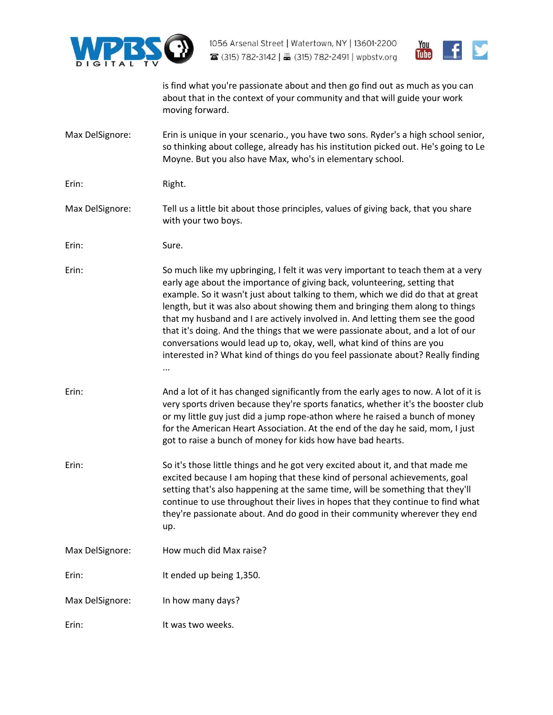



is find what you're passionate about and then go find out as much as you can about that in the context of your community and that will guide your work moving forward.

- [Max DelSignore:](https://www.rev.com/transcript-editor/Edit?token=nKQA3AW6AEYrf7_QX8yZUJlrwpaTYdkutx6_rClzioiwaAlyGfea4l8vDAuFgjcM1lJmQW65HAgoCU2KwKMpU9jtBF8&loadFrom=DocumentSpeakerNameDeeplink&ts=1063.47) Erin is unique in your scenario., you have two sons. Ryder's a high school senior, so thinking about college, already has his institution picked out. He's going to Le Moyne. But you also have Max, who's in elementary school.
- [Erin:](https://www.rev.com/transcript-editor/Edit?token=_aMUvcTNKHP10k_xrVUXXX5GazdwsRzrc9ekM4dQTemisCLZz7dvOIVslyxmfLLsypliHTeIAQIw1BNaUlOdzcsykwk&loadFrom=DocumentSpeakerNameDeeplink&ts=1076.63) Right.
- [Max DelSignore:](https://www.rev.com/transcript-editor/Edit?token=VzCRLJfb6jyRnOaG28MbLVRas49bTxif5fi8D2bSdujb7FNtyH8oeihNBAADdRBtkxNdxqjnY9ll_kbjVfujIfLK0fs&loadFrom=DocumentSpeakerNameDeeplink&ts=1077.05) Tell us a little bit about those principles, values of giving back, that you share with your two boys.
- [Erin:](https://www.rev.com/transcript-editor/Edit?token=QeIF6jY2iPzuaxgdJd3r5QS6CvB8ex5xBD5VQZvBp30cHlh7tPFUH3YrPwxvfu55bi-h1SJmR1YLKgraBG0WOFWjjNc&loadFrom=DocumentSpeakerNameDeeplink&ts=1083.14) Sure.
- [Erin:](https://www.rev.com/transcript-editor/Edit?token=qPim1hRs7faYPsC0mRCqMp8eaMAm2AMPr7tKp540maFSTunSrlYckp7VzRK1aqF1X-zaenqbSwT1JbERNI-691XXZuQ&loadFrom=DocumentSpeakerNameDeeplink&ts=1084.59) So much like my upbringing, I felt it was very important to teach them at a very early age about the importance of giving back, volunteering, setting that example. So it wasn't just about talking to them, which we did do that at great length, but it was also about showing them and bringing them along to things that my husband and I are actively involved in. And letting them see the good that it's doing. And the things that we were passionate about, and a lot of our conversations would lead up to, okay, well, what kind of thins are you interested in? What kind of things do you feel passionate about? Really finding ...
- [Erin:](https://www.rev.com/transcript-editor/Edit?token=O796keUj-cgaBsWw2c4KKCfPXLc9YaqnM_IRM2iH7AmgnrKANtuhgb9ceKzE7cRcRSldkZQ-Hc9RQlGwRB-PRs2MDvo&loadFrom=DocumentSpeakerNameDeeplink&ts=1127.68) And a lot of it has changed significantly from the early ages to now. A lot of it is very sports driven because they're sports fanatics, whether it's the booster club or my little guy just did a jump rope-athon where he raised a bunch of money for the American Heart Association. At the end of the day he said, mom, I just got to raise a bunch of money for kids how have bad hearts.
- [Erin:](https://www.rev.com/transcript-editor/Edit?token=NyNjP7VVOaB3wI8WIGqYrd6Qz5NFN6JF7QWz6VVHvD0DIz2ALb-bSSnylEJX3pTBbPUTh48CMuKgrdNEkOM8_wByQD4&loadFrom=DocumentSpeakerNameDeeplink&ts=1156.59) So it's those little things and he got very excited about it, and that made me excited because I am hoping that these kind of personal achievements, goal setting that's also happening at the same time, will be something that they'll continue to use throughout their lives in hopes that they continue to find what they're passionate about. And do good in their community wherever they end up.
- [Max DelSignore:](https://www.rev.com/transcript-editor/Edit?token=oXJyzjiNd87Q4VlZJGTTAe42IYoHnx1QVP_bNfV3ACLMsCZTpHC7FSTe6YU6AAWLjQfcO4pQtw_VxJIoxXuwAQN_EJ8&loadFrom=DocumentSpeakerNameDeeplink&ts=1182.98) How much did Max raise?
- [Erin:](https://www.rev.com/transcript-editor/Edit?token=ifjXrLTzgI-LQvl6wYDwBltpRNyMgg0_Z0EhB_9QiD17Iz4qQgjLNzRJ6s-ratpeBlvY5qj1pInyoa_a0-QPBgzMYEI&loadFrom=DocumentSpeakerNameDeeplink&ts=1185.26) It ended up being 1,350.
- [Max DelSignore:](https://www.rev.com/transcript-editor/Edit?token=S9LNciH4SzY4sYKQP1FIYm8bpj9DmQV5hvFe7WT7TJ2COx84sPYSPwhErL_yw3rktrL-YTPKhOC9wLggK9wXk-t5bGE&loadFrom=DocumentSpeakerNameDeeplink&ts=1187.69) In how many days?
- [Erin:](https://www.rev.com/transcript-editor/Edit?token=oK7S0of5ODUOXUC4bbWAenGPfY4EeX2YAjmrRGNJrzMUb8Mhqs0qBTsqWDoM8nuDdcrcg7O8FHjbouybDS8tpC2uv3o&loadFrom=DocumentSpeakerNameDeeplink&ts=1189.02) It was two weeks.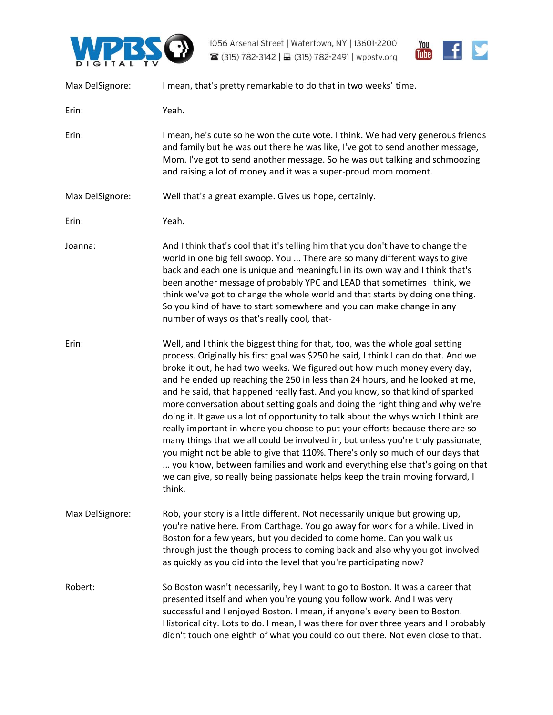



| Max DelSignore: | I mean, that's pretty remarkable to do that in two weeks' time.                                                                                                                                                                                                                                                                                                                                                                                                                                                                                                                                                                                                                                                                                                                                                                                                                                                                                                                                                              |
|-----------------|------------------------------------------------------------------------------------------------------------------------------------------------------------------------------------------------------------------------------------------------------------------------------------------------------------------------------------------------------------------------------------------------------------------------------------------------------------------------------------------------------------------------------------------------------------------------------------------------------------------------------------------------------------------------------------------------------------------------------------------------------------------------------------------------------------------------------------------------------------------------------------------------------------------------------------------------------------------------------------------------------------------------------|
| Erin:           | Yeah.                                                                                                                                                                                                                                                                                                                                                                                                                                                                                                                                                                                                                                                                                                                                                                                                                                                                                                                                                                                                                        |
| Erin:           | I mean, he's cute so he won the cute vote. I think. We had very generous friends<br>and family but he was out there he was like, I've got to send another message,<br>Mom. I've got to send another message. So he was out talking and schmoozing<br>and raising a lot of money and it was a super-proud mom moment.                                                                                                                                                                                                                                                                                                                                                                                                                                                                                                                                                                                                                                                                                                         |
| Max DelSignore: | Well that's a great example. Gives us hope, certainly.                                                                                                                                                                                                                                                                                                                                                                                                                                                                                                                                                                                                                                                                                                                                                                                                                                                                                                                                                                       |
| Erin:           | Yeah.                                                                                                                                                                                                                                                                                                                                                                                                                                                                                                                                                                                                                                                                                                                                                                                                                                                                                                                                                                                                                        |
| Joanna:         | And I think that's cool that it's telling him that you don't have to change the<br>world in one big fell swoop. You  There are so many different ways to give<br>back and each one is unique and meaningful in its own way and I think that's<br>been another message of probably YPC and LEAD that sometimes I think, we<br>think we've got to change the whole world and that starts by doing one thing.<br>So you kind of have to start somewhere and you can make change in any<br>number of ways os that's really cool, that-                                                                                                                                                                                                                                                                                                                                                                                                                                                                                           |
| Erin:           | Well, and I think the biggest thing for that, too, was the whole goal setting<br>process. Originally his first goal was \$250 he said, I think I can do that. And we<br>broke it out, he had two weeks. We figured out how much money every day,<br>and he ended up reaching the 250 in less than 24 hours, and he looked at me,<br>and he said, that happened really fast. And you know, so that kind of sparked<br>more conversation about setting goals and doing the right thing and why we're<br>doing it. It gave us a lot of opportunity to talk about the whys which I think are<br>really important in where you choose to put your efforts because there are so<br>many things that we all could be involved in, but unless you're truly passionate,<br>you might not be able to give that 110%. There's only so much of our days that<br>you know, between families and work and everything else that's going on that<br>we can give, so really being passionate helps keep the train moving forward, I<br>think. |
| Max DelSignore: | Rob, your story is a little different. Not necessarily unique but growing up,<br>you're native here. From Carthage. You go away for work for a while. Lived in<br>Boston for a few years, but you decided to come home. Can you walk us<br>through just the though process to coming back and also why you got involved<br>as quickly as you did into the level that you're participating now?                                                                                                                                                                                                                                                                                                                                                                                                                                                                                                                                                                                                                               |
| Robert:         | So Boston wasn't necessarily, hey I want to go to Boston. It was a career that<br>presented itself and when you're young you follow work. And I was very<br>successful and I enjoyed Boston. I mean, if anyone's every been to Boston.<br>Historical city. Lots to do. I mean, I was there for over three years and I probably<br>didn't touch one eighth of what you could do out there. Not even close to that.                                                                                                                                                                                                                                                                                                                                                                                                                                                                                                                                                                                                            |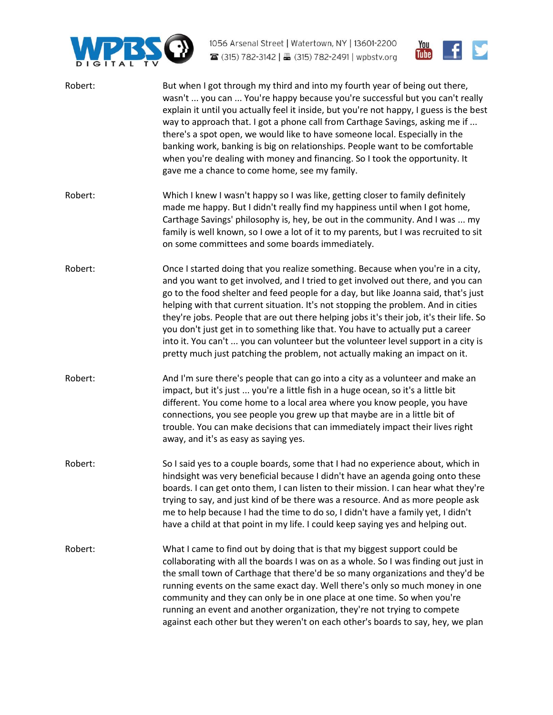



| Robert: | But when I got through my third and into my fourth year of being out there,<br>wasn't  you can  You're happy because you're successful but you can't really<br>explain it until you actually feel it inside, but you're not happy, I guess is the best<br>way to approach that. I got a phone call from Carthage Savings, asking me if<br>there's a spot open, we would like to have someone local. Especially in the<br>banking work, banking is big on relationships. People want to be comfortable<br>when you're dealing with money and financing. So I took the opportunity. It<br>gave me a chance to come home, see my family.                                                               |
|---------|-----------------------------------------------------------------------------------------------------------------------------------------------------------------------------------------------------------------------------------------------------------------------------------------------------------------------------------------------------------------------------------------------------------------------------------------------------------------------------------------------------------------------------------------------------------------------------------------------------------------------------------------------------------------------------------------------------|
| Robert: | Which I knew I wasn't happy so I was like, getting closer to family definitely<br>made me happy. But I didn't really find my happiness until when I got home,<br>Carthage Savings' philosophy is, hey, be out in the community. And I was  my<br>family is well known, so I owe a lot of it to my parents, but I was recruited to sit<br>on some committees and some boards immediately.                                                                                                                                                                                                                                                                                                            |
| Robert: | Once I started doing that you realize something. Because when you're in a city,<br>and you want to get involved, and I tried to get involved out there, and you can<br>go to the food shelter and feed people for a day, but like Joanna said, that's just<br>helping with that current situation. It's not stopping the problem. And in cities<br>they're jobs. People that are out there helping jobs it's their job, it's their life. So<br>you don't just get in to something like that. You have to actually put a career<br>into it. You can't  you can volunteer but the volunteer level support in a city is<br>pretty much just patching the problem, not actually making an impact on it. |
| Robert: | And I'm sure there's people that can go into a city as a volunteer and make an<br>impact, but it's just  you're a little fish in a huge ocean, so it's a little bit<br>different. You come home to a local area where you know people, you have<br>connections, you see people you grew up that maybe are in a little bit of<br>trouble. You can make decisions that can immediately impact their lives right<br>away, and it's as easy as saying yes.                                                                                                                                                                                                                                              |
| Robert: | So I said yes to a couple boards, some that I had no experience about, which in<br>hindsight was very beneficial because I didn't have an agenda going onto these<br>boards. I can get onto them, I can listen to their mission. I can hear what they're<br>trying to say, and just kind of be there was a resource. And as more people ask<br>me to help because I had the time to do so, I didn't have a family yet, I didn't<br>have a child at that point in my life. I could keep saying yes and helping out.                                                                                                                                                                                  |
| Robert: | What I came to find out by doing that is that my biggest support could be<br>collaborating with all the boards I was on as a whole. So I was finding out just in<br>the small town of Carthage that there'd be so many organizations and they'd be<br>running events on the same exact day. Well there's only so much money in one<br>community and they can only be in one place at one time. So when you're<br>running an event and another organization, they're not trying to compete<br>against each other but they weren't on each other's boards to say, hey, we plan                                                                                                                        |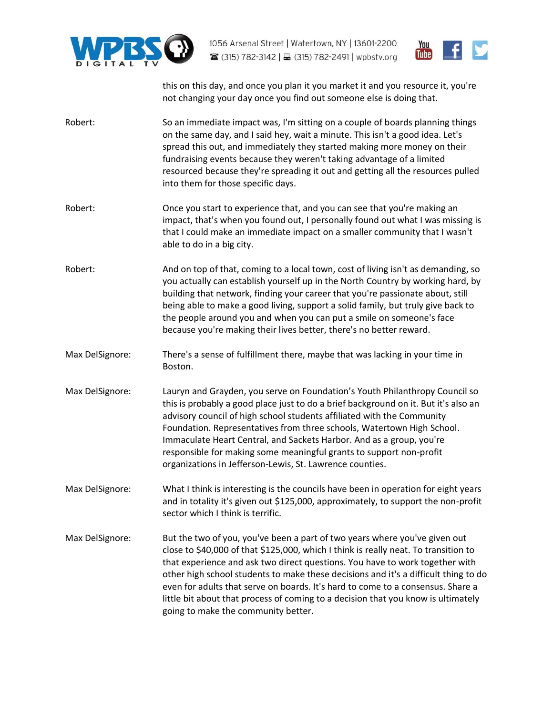



this on this day, and once you plan it you market it and you resource it, you're not changing your day once you find out someone else is doing that.

- [Robert:](https://www.rev.com/transcript-editor/Edit?token=4-zM2T1TVGJknMfZtecAZ989CWPRL5PJlbPT6q18NENN42J4k5gnrx6U2HVDE6mFSd_P1mC28bH5BvaCizblfewIKzA&loadFrom=DocumentSpeakerNameDeeplink&ts=1524.36) So an immediate impact was, I'm sitting on a couple of boards planning things on the same day, and I said hey, wait a minute. This isn't a good idea. Let's spread this out, and immediately they started making more money on their fundraising events because they weren't taking advantage of a limited resourced because they're spreading it out and getting all the resources pulled into them for those specific days.
- [Robert:](https://www.rev.com/transcript-editor/Edit?token=xA6NUJpuYhgDb5esZ4ls1JtHQXdpN906ne0J379gRlWMZqeQcbRiS3bnDJDfgtO9ymO4xbLqa521Tst2aHYLtaRwZGk&loadFrom=DocumentSpeakerNameDeeplink&ts=1545) **Once you start to experience that, and you can see that you're making an** impact, that's when you found out, I personally found out what I was missing is that I could make an immediate impact on a smaller community that I wasn't able to do in a big city.
- [Robert:](https://www.rev.com/transcript-editor/Edit?token=XiOn2HYCMWqiadksIRgQdnM1BRA-1iX9673GByofWwMgbYI6C8AyOKpXCkERIhjM4mN9-2wtsoDgtvpsodmbREa8CSc&loadFrom=DocumentSpeakerNameDeeplink&ts=1557.37) And on top of that, coming to a local town, cost of living isn't as demanding, so you actually can establish yourself up in the North Country by working hard, by building that network, finding your career that you're passionate about, still being able to make a good living, support a solid family, but truly give back to the people around you and when you can put a smile on someone's face because you're making their lives better, there's no better reward.
- [Max DelSignore:](https://www.rev.com/transcript-editor/Edit?token=PuEpj8ySoPPKnhEG9X3JAiq_R31nAmg4M3v-q0g1WPOsC4dufOMe3KmeXHgj2LX33I1YEfwiYfE2POe6XIllDD76tFw&loadFrom=DocumentSpeakerNameDeeplink&ts=1580.82) There's a sense of fulfillment there, maybe that was lacking in your time in Boston.
- [Max DelSignore:](https://www.rev.com/transcript-editor/Edit?token=kjmpWAwydSuAIkbbdGYhJewEPGZVrMk0eCi-13vgz7MUcoeBoslorjEe7GTTqnfqnJjx8YAffVLeBJKkFxAezK-ea6k&loadFrom=DocumentSpeakerNameDeeplink&ts=1587.23) Lauryn and Grayden, you serve on Foundation's Youth Philanthropy Council so this is probably a good place just to do a brief background on it. But it's also an advisory council of high school students affiliated with the Community Foundation. Representatives from three schools, Watertown High School. Immaculate Heart Central, and Sackets Harbor. And as a group, you're responsible for making some meaningful grants to support non-profit organizations in Jefferson-Lewis, St. Lawrence counties.
- [Max DelSignore:](https://www.rev.com/transcript-editor/Edit?token=-pBZIeUZhKABkauE8BDpfLcO56asOFp8hKb267mUWqmBUfW3olFuY1YnlMEqo41rKNwZ55y7BJy6Mgp_JwdaapttJUo&loadFrom=DocumentSpeakerNameDeeplink&ts=1610.58) What I think is interesting is the councils have been in operation for eight years and in totality it's given out \$125,000, approximately, to support the non-profit sector which I think is terrific.
- [Max DelSignore:](https://www.rev.com/transcript-editor/Edit?token=7i_i3K82c0oAXH3Gs-MUlbZm2WtyCJ5tl-nqkGOnfbzouNHgkPuUGcx-hZzKbtkB0HVl6bCjAIfQgHx-gWc6h9SQwDA&loadFrom=DocumentSpeakerNameDeeplink&ts=1621.12) But the two of you, you've been a part of two years where you've given out close to \$40,000 of that \$125,000, which I think is really neat. To transition to that experience and ask two direct questions. You have to work together with other high school students to make these decisions and it's a difficult thing to do even for adults that serve on boards. It's hard to come to a consensus. Share a little bit about that process of coming to a decision that you know is ultimately going to make the community better.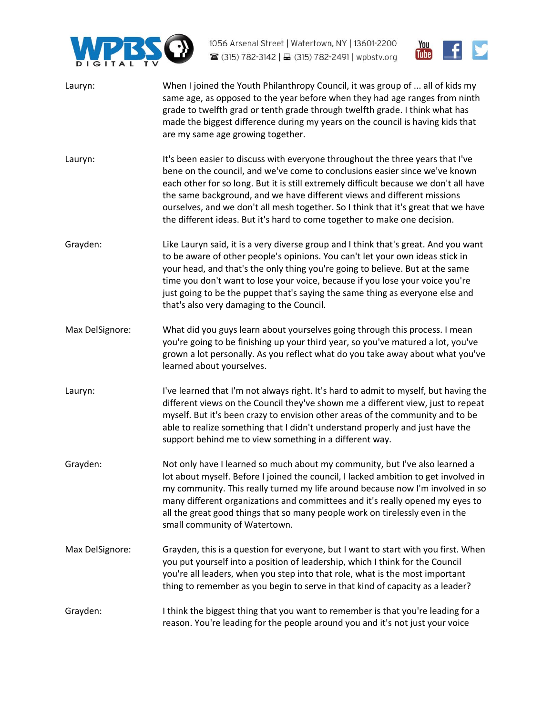



- [Lauryn:](https://www.rev.com/transcript-editor/Edit?token=3NOeyg8r8bBNK-dMBZD5aMo3v-j84pf-0hFP_q3j0WHKygJ7tWbPdrHIjr65g8PiJfJ80H14Kb_JVbaIFg5ChdvuBl4&loadFrom=DocumentSpeakerNameDeeplink&ts=1651.65) When I joined the Youth Philanthropy Council, it was group of ... all of kids my same age, as opposed to the year before when they had age ranges from ninth grade to twelfth grad or tenth grade through twelfth grade. I think what has made the biggest difference during my years on the council is having kids that are my same age growing together.
- [Lauryn:](https://www.rev.com/transcript-editor/Edit?token=kzw3u_HsmeMrVLBF9L2Chb4QLn1QH8CHqTdliO3EZtiBJ2RmH-t3-OrTOTz7oZy3Sz-cxdTkarGc3d_DApeWjQWDNkk&loadFrom=DocumentSpeakerNameDeeplink&ts=1675.79) It's been easier to discuss with everyone throughout the three years that I've bene on the council, and we've come to conclusions easier since we've known each other for so long. But it is still extremely difficult because we don't all have the same background, and we have different views and different missions ourselves, and we don't all mesh together. So I think that it's great that we have the different ideas. But it's hard to come together to make one decision.
- [Grayden:](https://www.rev.com/transcript-editor/Edit?token=uobytmCVZ9v5LXJsLV1SRoiHToAjj5YBOB4q_i1XqXOerinDrC0pHK_Jfe4pagnub1xtjKg-Ohv4QJjTbImYi7US02U&loadFrom=DocumentSpeakerNameDeeplink&ts=1703.39) Like Lauryn said, it is a very diverse group and I think that's great. And you want to be aware of other people's opinions. You can't let your own ideas stick in your head, and that's the only thing you're going to believe. But at the same time you don't want to lose your voice, because if you lose your voice you're just going to be the puppet that's saying the same thing as everyone else and that's also very damaging to the Council.
- [Max DelSignore:](https://www.rev.com/transcript-editor/Edit?token=SyeoE5tumR_a545W-iWKBb6MImOmQznUormi1cAqMhsiAgwcY7WQyk4ZeVKvb6Sc7WdsherzDRISnl2B64BiGpYn5OM&loadFrom=DocumentSpeakerNameDeeplink&ts=1721.54) What did you guys learn about yourselves going through this process. I mean you're going to be finishing up your third year, so you've matured a lot, you've grown a lot personally. As you reflect what do you take away about what you've learned about yourselves.
- [Lauryn:](https://www.rev.com/transcript-editor/Edit?token=hbRxUOUmPjGFNObaJ4d-dfKi0XvYPYoWubmY7cDsf6YDwMTgpXGsJai9mwah8mJ72OoS5ShCzIozZg6jCi3oRcc5TSQ&loadFrom=DocumentSpeakerNameDeeplink&ts=1734.43) I've learned that I'm not always right. It's hard to admit to myself, but having the different views on the Council they've shown me a different view, just to repeat myself. But it's been crazy to envision other areas of the community and to be able to realize something that I didn't understand properly and just have the support behind me to view something in a different way.
- [Grayden:](https://www.rev.com/transcript-editor/Edit?token=p6XMseh1rMsoqfjQsGoPvng-FQ8Ne6FeOfOltXt7VM8RmTpWwou5MChwVenMGyN8YpDP_aWBC8s334Fr-8qtgAq1Pho&loadFrom=DocumentSpeakerNameDeeplink&ts=1763.97) Not only have I learned so much about my community, but I've also learned a lot about myself. Before I joined the council, I lacked ambition to get involved in my community. This really turned my life around because now I'm involved in so many different organizations and committees and it's really opened my eyes to all the great good things that so many people work on tirelessly even in the small community of Watertown.
- [Max DelSignore:](https://www.rev.com/transcript-editor/Edit?token=IUxt1YXnOKLFgqsc0u9RapiufPalMIfQ7bwqfksTgl4ZT0Wx8r_MV3hFGTg6BOVPe7vdrMdw4SFSBM2xDJ3XB4ynfYs&loadFrom=DocumentSpeakerNameDeeplink&ts=1790.63) Grayden, this is a question for everyone, but I want to start with you first. When you put yourself into a position of leadership, which I think for the Council you're all leaders, when you step into that role, what is the most important thing to remember as you begin to serve in that kind of capacity as a leader?
- [Grayden:](https://www.rev.com/transcript-editor/Edit?token=hUY280sxBrV4qRNxpUvTY7RYqSpLbEefBQybq9jWnP5vrQWalUdN8IER0-nImA14FqigJB1rL3tvR2j6Tln9f-ax4dk&loadFrom=DocumentSpeakerNameDeeplink&ts=1805.1) I think the biggest thing that you want to remember is that you're leading for a reason. You're leading for the people around you and it's not just your voice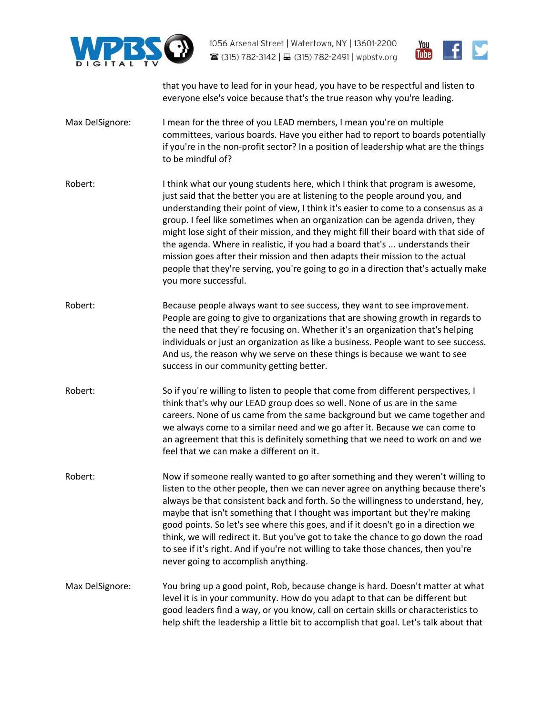



that you have to lead for in your head, you have to be respectful and listen to everyone else's voice because that's the true reason why you're leading.

- [Max DelSignore:](https://www.rev.com/transcript-editor/Edit?token=Z2zVc9pQpLVeKAT5jvg7jmWFqXlJLMhPlAhz1gVQWQjp_BeaKrcwIM-ZajODgNE6OWBwjIyWeCIUqLey_vo65NRdGLA&loadFrom=DocumentSpeakerNameDeeplink&ts=1825.47) I mean for the three of you LEAD members, I mean you're on multiple committees, various boards. Have you either had to report to boards potentially if you're in the non-profit sector? In a position of leadership what are the things to be mindful of?
- [Robert:](https://www.rev.com/transcript-editor/Edit?token=Ufc-k4vDYfT8gv1tq6E6LlyC6AjwkXf6reDTvls1HcfWJu2uSKZ-cyt8ZepVjDsQr9LbxcWgH_CYGApXdtzJoE1-pnk&loadFrom=DocumentSpeakerNameDeeplink&ts=1841.73) I think what our young students here, which I think that program is awesome, just said that the better you are at listening to the people around you, and understanding their point of view, I think it's easier to come to a consensus as a group. I feel like sometimes when an organization can be agenda driven, they might lose sight of their mission, and they might fill their board with that side of the agenda. Where in realistic, if you had a board that's ... understands their mission goes after their mission and then adapts their mission to the actual people that they're serving, you're going to go in a direction that's actually make you more successful.
- [Robert:](https://www.rev.com/transcript-editor/Edit?token=8O-Yd65esId9zecMs_3VTqlC_OA5cqKcDGKeGBqnMgX9F66UcGUBNBjCms2k4ilnVxsPT-9kKpWHa0bTebIW-5Z5xPg&loadFrom=DocumentSpeakerNameDeeplink&ts=1879.73) Because people always want to see success, they want to see improvement. People are going to give to organizations that are showing growth in regards to the need that they're focusing on. Whether it's an organization that's helping individuals or just an organization as like a business. People want to see success. And us, the reason why we serve on these things is because we want to see success in our community getting better.
- [Robert:](https://www.rev.com/transcript-editor/Edit?token=RmzWruY04kFqyXVenUeXwQSY3kuRncep0s__rVJMeTCSAXLtXPIR8dXsu-C5QZ_GgT23exyHlkjifF4E_LZG3GRGdEo&loadFrom=DocumentSpeakerNameDeeplink&ts=1899.78) So if you're willing to listen to people that come from different perspectives, I think that's why our LEAD group does so well. None of us are in the same careers. None of us came from the same background but we came together and we always come to a similar need and we go after it. Because we can come to an agreement that this is definitely something that we need to work on and we feel that we can make a different on it.
- [Robert:](https://www.rev.com/transcript-editor/Edit?token=Vw7vQBnrYfamN5w0nTV4Qn8Ul3rfcPDh2iT7QDBOkvYNKCtteNM0RbswCLtlEXyeH5lERiiWtE1tBa7uE_tFhGgtlU4&loadFrom=DocumentSpeakerNameDeeplink&ts=1920.93) Now if someone really wanted to go after something and they weren't willing to listen to the other people, then we can never agree on anything because there's always be that consistent back and forth. So the willingness to understand, hey, maybe that isn't something that I thought was important but they're making good points. So let's see where this goes, and if it doesn't go in a direction we think, we will redirect it. But you've got to take the chance to go down the road to see if it's right. And if you're not willing to take those chances, then you're never going to accomplish anything.
- [Max DelSignore:](https://www.rev.com/transcript-editor/Edit?token=MN3HseRFtNUX5vWd6FfTg0wp6BHlc7JJ1aEYyg_K1Fn1DGVFPFmP3FFNTBC4k1erasjSTtIjBJq1EjhuTXNRUj0APiU&loadFrom=DocumentSpeakerNameDeeplink&ts=1946.89) You bring up a good point, Rob, because change is hard. Doesn't matter at what level it is in your community. How do you adapt to that can be different but good leaders find a way, or you know, call on certain skills or characteristics to help shift the leadership a little bit to accomplish that goal. Let's talk about that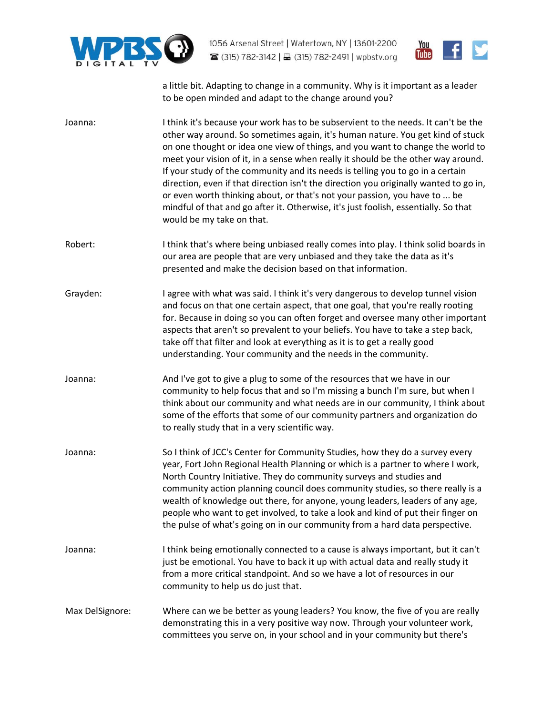



a little bit. Adapting to change in a community. Why is it important as a leader to be open minded and adapt to the change around you?

| Joanna:         | I think it's because your work has to be subservient to the needs. It can't be the<br>other way around. So sometimes again, it's human nature. You get kind of stuck<br>on one thought or idea one view of things, and you want to change the world to<br>meet your vision of it, in a sense when really it should be the other way around.<br>If your study of the community and its needs is telling you to go in a certain<br>direction, even if that direction isn't the direction you originally wanted to go in,<br>or even worth thinking about, or that's not your passion, you have to  be<br>mindful of that and go after it. Otherwise, it's just foolish, essentially. So that<br>would be my take on that. |
|-----------------|-------------------------------------------------------------------------------------------------------------------------------------------------------------------------------------------------------------------------------------------------------------------------------------------------------------------------------------------------------------------------------------------------------------------------------------------------------------------------------------------------------------------------------------------------------------------------------------------------------------------------------------------------------------------------------------------------------------------------|
| Robert:         | I think that's where being unbiased really comes into play. I think solid boards in<br>our area are people that are very unbiased and they take the data as it's<br>presented and make the decision based on that information.                                                                                                                                                                                                                                                                                                                                                                                                                                                                                          |
| Grayden:        | I agree with what was said. I think it's very dangerous to develop tunnel vision<br>and focus on that one certain aspect, that one goal, that you're really rooting<br>for. Because in doing so you can often forget and oversee many other important<br>aspects that aren't so prevalent to your beliefs. You have to take a step back,<br>take off that filter and look at everything as it is to get a really good<br>understanding. Your community and the needs in the community.                                                                                                                                                                                                                                  |
| Joanna:         | And I've got to give a plug to some of the resources that we have in our<br>community to help focus that and so I'm missing a bunch I'm sure, but when I<br>think about our community and what needs are in our community, I think about<br>some of the efforts that some of our community partners and organization do<br>to really study that in a very scientific way.                                                                                                                                                                                                                                                                                                                                               |
| Joanna:         | So I think of JCC's Center for Community Studies, how they do a survey every<br>year, Fort John Regional Health Planning or which is a partner to where I work,<br>North Country Initiative. They do community surveys and studies and<br>community action planning council does community studies, so there really is a<br>wealth of knowledge out there, for anyone, young leaders, leaders of any age,<br>people who want to get involved, to take a look and kind of put their finger on<br>the pulse of what's going on in our community from a hard data perspective.                                                                                                                                             |
| Joanna:         | I think being emotionally connected to a cause is always important, but it can't<br>just be emotional. You have to back it up with actual data and really study it<br>from a more critical standpoint. And so we have a lot of resources in our<br>community to help us do just that.                                                                                                                                                                                                                                                                                                                                                                                                                                   |
| Max DelSignore: | Where can we be better as young leaders? You know, the five of you are really<br>demonstrating this in a very positive way now. Through your volunteer work,<br>committees you serve on, in your school and in your community but there's                                                                                                                                                                                                                                                                                                                                                                                                                                                                               |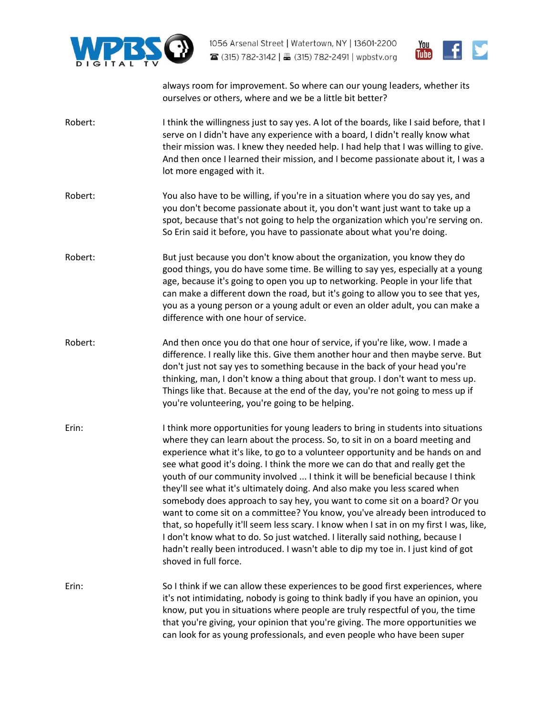



always room for improvement. So where can our young leaders, whether its ourselves or others, where and we be a little bit better?

- [Robert:](https://www.rev.com/transcript-editor/Edit?token=9jfUwZMU6XbW-McENvrjxQWquHz2_5t0hrtDmzqKN1I9QvHBXBavl_NF2m47WPFJiTwllSpFar1gFk_lRGOaTvMCakg&loadFrom=DocumentSpeakerNameDeeplink&ts=2156.78) I think the willingness just to say yes. A lot of the boards, like I said before, that I serve on I didn't have any experience with a board, I didn't really know what their mission was. I knew they needed help. I had help that I was willing to give. And then once I learned their mission, and I become passionate about it, I was a lot more engaged with it.
- [Robert:](https://www.rev.com/transcript-editor/Edit?token=s6MEdh8kMtBHFguxVU22tYlzYJMvSCuLJpVitt53hdSiSyNBORz_Xsd1GW-928dMyZ3cvYIB81tHjzmPIGfi0fn8hVo&loadFrom=DocumentSpeakerNameDeeplink&ts=2174.78) You also have to be willing, if you're in a situation where you do say yes, and you don't become passionate about it, you don't want just want to take up a spot, because that's not going to help the organization which you're serving on. So Erin said it before, you have to passionate about what you're doing.
- [Robert:](https://www.rev.com/transcript-editor/Edit?token=KLZccemLmlid4-ZjVhB8ughOSd_-R6O51ILdrQrMTh9hJ1tc3EFmV-4ebXUfG5E9GONOfa81zYdsJYe6MgvCexCZa9Y&loadFrom=DocumentSpeakerNameDeeplink&ts=2187.17) But just because you don't know about the organization, you know they do good things, you do have some time. Be willing to say yes, especially at a young age, because it's going to open you up to networking. People in your life that can make a different down the road, but it's going to allow you to see that yes, you as a young person or a young adult or even an older adult, you can make a difference with one hour of service.
- [Robert:](https://www.rev.com/transcript-editor/Edit?token=fxK1oQL4qjHdtvrXmhl64eCzx4XoQ9ELzoiPyr1-P0CBaNYgkhlhwO4bl_5GON6WuLyVYwFDX6MHuqu7z2KGL5ufuhY&loadFrom=DocumentSpeakerNameDeeplink&ts=2207.82) And then once you do that one hour of service, if you're like, wow. I made a difference. I really like this. Give them another hour and then maybe serve. But don't just not say yes to something because in the back of your head you're thinking, man, I don't know a thing about that group. I don't want to mess up. Things like that. Because at the end of the day, you're not going to mess up if you're volunteering, you're going to be helping.
- [Erin:](https://www.rev.com/transcript-editor/Edit?token=V5Xihgwy_hffO4Ktdj5Hi6FJrUKNAwGbjSqHgi4tLf5zzSwkg9LlBScdeIU5yZ878UYqiQRdpccZ4U9hbTW5AC2lJAo&loadFrom=DocumentSpeakerNameDeeplink&ts=2226.7) I think more opportunities for young leaders to bring in students into situations where they can learn about the process. So, to sit in on a board meeting and experience what it's like, to go to a volunteer opportunity and be hands on and see what good it's doing. I think the more we can do that and really get the youth of our community involved ... I think it will be beneficial because I think they'll see what it's ultimately doing. And also make you less scared when somebody does approach to say hey, you want to come sit on a board? Or you want to come sit on a committee? You know, you've already been introduced to that, so hopefully it'll seem less scary. I know when I sat in on my first I was, like, I don't know what to do. So just watched. I literally said nothing, because I hadn't really been introduced. I wasn't able to dip my toe in. I just kind of got shoved in full force.
- [Erin:](https://www.rev.com/transcript-editor/Edit?token=udGd6cfszx2kMN_qRQuP8gj0INID_bP_MHRdle06vonIUJpuBNQLH5NhDkShlheCC8AehASzMSUGiH2hvKQB1AHwpzI&loadFrom=DocumentSpeakerNameDeeplink&ts=2293.04) So I think if we can allow these experiences to be good first experiences, where it's not intimidating, nobody is going to think badly if you have an opinion, you know, put you in situations where people are truly respectful of you, the time that you're giving, your opinion that you're giving. The more opportunities we can look for as young professionals, and even people who have been super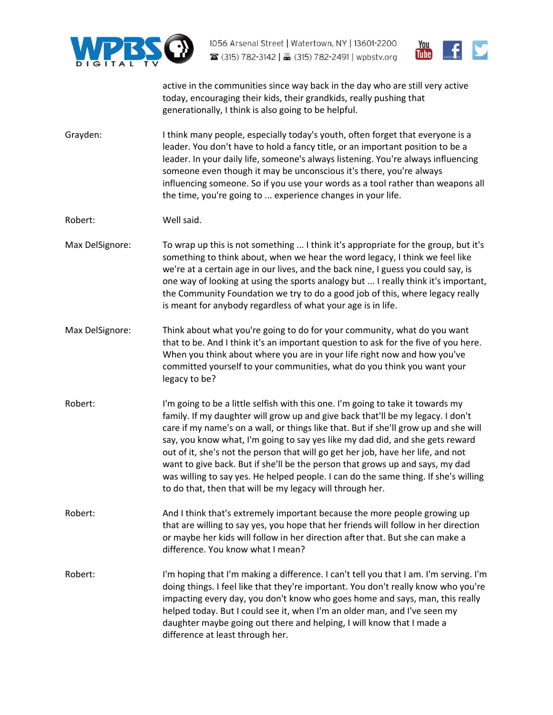



active in the communities since way back in the day who are still very active today, encouraging their kids, their grandkids, really pushing that generationally, I think is also going to be helpful.

[Grayden:](https://www.rev.com/transcript-editor/Edit?token=27jGY2nUQ0esl8z8G9VxrhZVaVtK3qAujS2uCXojTSy9qUkniE1yj4QjbkesyULvcpE2WP13LLudfLM3P7cGJgVWSTA&loadFrom=DocumentSpeakerNameDeeplink&ts=2336.53) I think many people, especially today's youth, often forget that everyone is a leader. You don't have to hold a fancy title, or an important position to be a leader. In your daily life, someone's always listening. You're always influencing someone even though it may be unconscious it's there, you're always influencing someone. So if you use your words as a tool rather than weapons all the time, you're going to ... experience changes in your life.

[Robert:](https://www.rev.com/transcript-editor/Edit?token=ZLEGgyuuC_A_uRcu6w4ePsE7_uuKGiVX7wlLRA1rt1D5QZj8qeg7rLNMap_gPI0hb3vbpR18IEXU5F_Px8f8CX2cT7M&loadFrom=DocumentSpeakerNameDeeplink&ts=2363.38) Well said.

- [Max DelSignore:](https://www.rev.com/transcript-editor/Edit?token=I3jNXeBKrIs7G1RDFER90_dwbURMAkjVDYWqydhTB2jbDWVQcRN7NLrX5DOycYPXpw01WivQlT5X7lgB0uvkl1KiDwo&loadFrom=DocumentSpeakerNameDeeplink&ts=2364.79) To wrap up this is not something ... I think it's appropriate for the group, but it's something to think about, when we hear the word legacy, I think we feel like we're at a certain age in our lives, and the back nine, I guess you could say, is one way of looking at using the sports analogy but ... I really think it's important, the Community Foundation we try to do a good job of this, where legacy really is meant for anybody regardless of what your age is in life.
- [Max DelSignore:](https://www.rev.com/transcript-editor/Edit?token=o6bvgwITBUJZGKp662atr6Qhuv9_rfLwl4Ma9yIeSfWF4Ovg5M-VsF_BRBEuPqvBQVACVwEJSSGQ8rRdwSfSF5Kn4Z8&loadFrom=DocumentSpeakerNameDeeplink&ts=2386.95) Think about what you're going to do for your community, what do you want that to be. And I think it's an important question to ask for the five of you here. When you think about where you are in your life right now and how you've committed yourself to your communities, what do you think you want your legacy to be?
- [Robert:](https://www.rev.com/transcript-editor/Edit?token=KeHV49GBZ2aijGVtUHvNGfh8h3YYh9-RIzcbVvFriFUXWM2Kzxznc4d9KjItOOic5qelMwAk1wZErxlwK5vZEshUo0I&loadFrom=DocumentSpeakerNameDeeplink&ts=2404.24) I'm going to be a little selfish with this one. I'm going to take it towards my family. If my daughter will grow up and give back that'll be my legacy. I don't care if my name's on a wall, or things like that. But if she'll grow up and she will say, you know what, I'm going to say yes like my dad did, and she gets reward out of it, she's not the person that will go get her job, have her life, and not want to give back. But if she'll be the person that grows up and says, my dad was willing to say yes. He helped people. I can do the same thing. If she's willing to do that, then that will be my legacy will through her.
- [Robert:](https://www.rev.com/transcript-editor/Edit?token=r133stqDsIPkzjp4Zudv9JEENPB334N-3rJ_xb-2c-0q8QEupeScfpr8CKBD39YuGVnPv3VIq36N-F9ld7-UtNDLPl0&loadFrom=DocumentSpeakerNameDeeplink&ts=2438.4) And I think that's extremely important because the more people growing up that are willing to say yes, you hope that her friends will follow in her direction or maybe her kids will follow in her direction after that. But she can make a difference. You know what I mean?
- [Robert:](https://www.rev.com/transcript-editor/Edit?token=-yFHS8MCzx4wJFmMEbVJaCDUSu05iIfAw10z8PgpD-_ZTuM7ybfhJWZm7PMhXIT6QLCXPGWq_GPPSjfoyxlrn2rryrQ&loadFrom=DocumentSpeakerNameDeeplink&ts=2451.27) I'm hoping that I'm making a difference. I can't tell you that I am. I'm serving. I'm doing things. I feel like that they're important. You don't really know who you're impacting every day, you don't know who goes home and says, man, this really helped today. But I could see it, when I'm an older man, and I've seen my daughter maybe going out there and helping, I will know that I made a difference at least through her.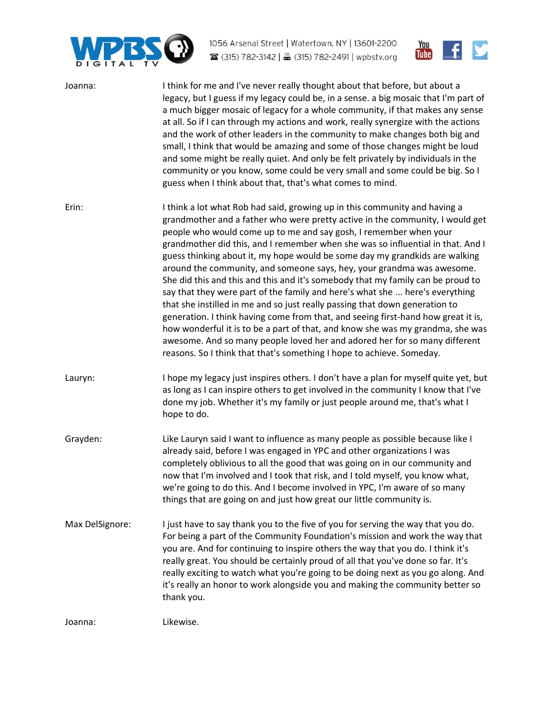



| Joanna:         | I think for me and I've never really thought about that before, but about a<br>legacy, but I guess if my legacy could be, in a sense. a big mosaic that I'm part of<br>a much bigger mosaic of legacy for a whole community, if that makes any sense<br>at all. So if I can through my actions and work, really synergize with the actions<br>and the work of other leaders in the community to make changes both big and<br>small, I think that would be amazing and some of those changes might be loud<br>and some might be really quiet. And only be felt privately by individuals in the<br>community or you know, some could be very small and some could be big. So I<br>guess when I think about that, that's what comes to mind.                                                                                                                                                                                                                                                                                                                    |
|-----------------|--------------------------------------------------------------------------------------------------------------------------------------------------------------------------------------------------------------------------------------------------------------------------------------------------------------------------------------------------------------------------------------------------------------------------------------------------------------------------------------------------------------------------------------------------------------------------------------------------------------------------------------------------------------------------------------------------------------------------------------------------------------------------------------------------------------------------------------------------------------------------------------------------------------------------------------------------------------------------------------------------------------------------------------------------------------|
| Erin:           | I think a lot what Rob had said, growing up in this community and having a<br>grandmother and a father who were pretty active in the community, I would get<br>people who would come up to me and say gosh, I remember when your<br>grandmother did this, and I remember when she was so influential in that. And I<br>guess thinking about it, my hope would be some day my grandkids are walking<br>around the community, and someone says, hey, your grandma was awesome.<br>She did this and this and this and it's somebody that my family can be proud to<br>say that they were part of the family and here's what she  here's everything<br>that she instilled in me and so just really passing that down generation to<br>generation. I think having come from that, and seeing first-hand how great it is,<br>how wonderful it is to be a part of that, and know she was my grandma, she was<br>awesome. And so many people loved her and adored her for so many different<br>reasons. So I think that that's something I hope to achieve. Someday. |
| Lauryn:         | I hope my legacy just inspires others. I don't have a plan for myself quite yet, but<br>as long as I can inspire others to get involved in the community I know that I've<br>done my job. Whether it's my family or just people around me, that's what I<br>hope to do.                                                                                                                                                                                                                                                                                                                                                                                                                                                                                                                                                                                                                                                                                                                                                                                      |
| Grayden:        | Like Lauryn said I want to influence as many people as possible because like I<br>already said, before I was engaged in YPC and other organizations I was<br>completely oblivious to all the good that was going on in our community and<br>now that I'm involved and I took that risk, and I told myself, you know what,<br>we're going to do this. And I become involved in YPC, I'm aware of so many<br>things that are going on and just how great our little community is.                                                                                                                                                                                                                                                                                                                                                                                                                                                                                                                                                                              |
| Max DelSignore: | I just have to say thank you to the five of you for serving the way that you do.<br>For being a part of the Community Foundation's mission and work the way that<br>you are. And for continuing to inspire others the way that you do. I think it's<br>really great. You should be certainly proud of all that you've done so far. It's<br>really exciting to watch what you're going to be doing next as you go along. And<br>it's really an honor to work alongside you and making the community better so<br>thank you.                                                                                                                                                                                                                                                                                                                                                                                                                                                                                                                                   |
| Joanna:         | Likewise.                                                                                                                                                                                                                                                                                                                                                                                                                                                                                                                                                                                                                                                                                                                                                                                                                                                                                                                                                                                                                                                    |